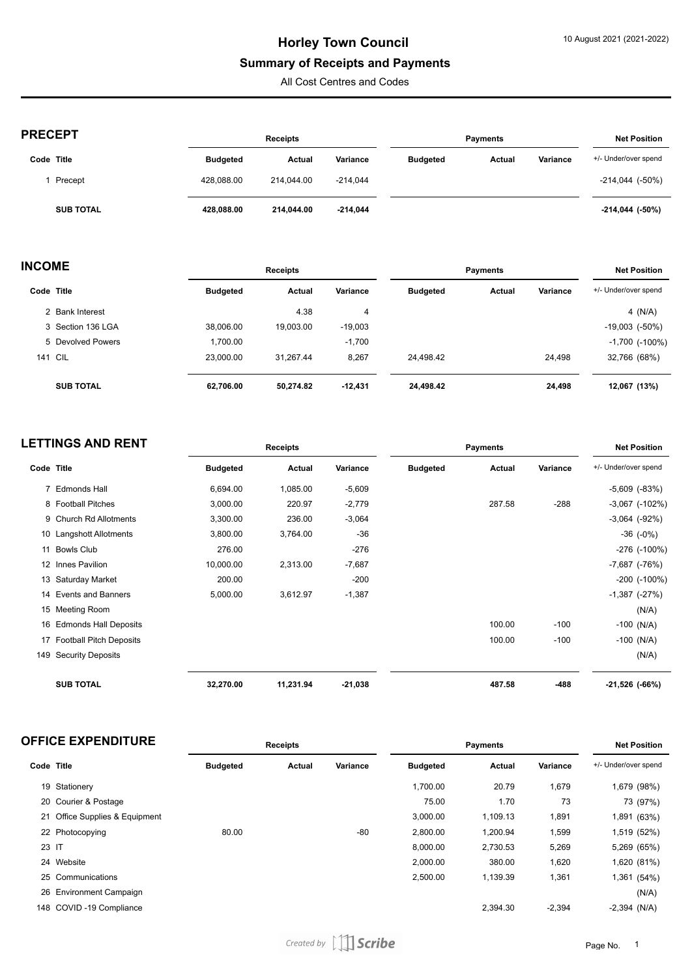### **Summary of Receipts and Payments**

All Cost Centres and Codes

| <b>PRECEPT</b> |
|----------------|
|----------------|

| <b>PRECEPT</b>   |                 | <b>Receipts</b> |            |                 | <b>Payments</b> |          |                        |
|------------------|-----------------|-----------------|------------|-----------------|-----------------|----------|------------------------|
| Code Title       | <b>Budgeted</b> | Actual          | Variance   | <b>Budgeted</b> | Actual          | Variance | +/- Under/over spend   |
| Precept          | 428.088.00      | 214.044.00      | $-214.044$ |                 |                 |          | $-214,044$ $(-50\%)$   |
| <b>SUB TOTAL</b> | 428.088.00      | 214.044.00      | $-214,044$ |                 |                 |          | $-214,044$ ( $-50\%$ ) |

| <b>INCOME</b> |                   | <b>Receipts</b> |           |           | <b>Payments</b> |        |          | <b>Net Position</b>   |
|---------------|-------------------|-----------------|-----------|-----------|-----------------|--------|----------|-----------------------|
|               | Code Title        | <b>Budgeted</b> | Actual    | Variance  | <b>Budgeted</b> | Actual | Variance | +/- Under/over spend  |
|               | 2 Bank Interest   |                 | 4.38      | 4         |                 |        |          | 4 $(N/A)$             |
|               | 3 Section 136 LGA | 38,006.00       | 19.003.00 | $-19,003$ |                 |        |          | $-19,003$ ( $-50\%$ ) |
|               | 5 Devolved Powers | 1,700.00        |           | $-1,700$  |                 |        |          | $-1,700$ ( $-100\%$ ) |
|               | <b>141 CIL</b>    | 23.000.00       | 31.267.44 | 8,267     | 24.498.42       |        | 24.498   | 32,766 (68%)          |
|               | <b>SUB TOTAL</b>  | 62,706.00       | 50,274.82 | $-12,431$ | 24,498.42       |        | 24,498   | 12,067 (13%)          |

| <b>LETTINGS AND RENT</b> |                            | <b>Receipts</b> |           |           | <b>Payments</b> |        |          | <b>Net Position</b>   |  |
|--------------------------|----------------------------|-----------------|-----------|-----------|-----------------|--------|----------|-----------------------|--|
| Code Title               |                            | <b>Budgeted</b> | Actual    | Variance  | <b>Budgeted</b> | Actual | Variance | +/- Under/over spend  |  |
|                          | 7 Edmonds Hall             | 6,694.00        | 1,085.00  | $-5,609$  |                 |        |          | $-5,609$ $(-83%)$     |  |
|                          | 8 Football Pitches         | 3,000.00        | 220.97    | $-2,779$  |                 | 287.58 | $-288$   | $-3,067$ $(-102%)$    |  |
|                          | 9 Church Rd Allotments     | 3,300.00        | 236.00    | $-3,064$  |                 |        |          | $-3,064$ $(-92%)$     |  |
|                          | 10 Langshott Allotments    | 3,800.00        | 3,764.00  | $-36$     |                 |        |          | $-36$ $(-0%)$         |  |
|                          | 11 Bowls Club              | 276.00          |           | $-276$    |                 |        |          | $-276$ ( $-100\%$ )   |  |
|                          | 12 Innes Pavilion          | 10,000.00       | 2,313.00  | $-7,687$  |                 |        |          | $-7,687$ $(-76%)$     |  |
|                          | 13 Saturday Market         | 200.00          |           | $-200$    |                 |        |          | $-200$ $(-100\%)$     |  |
|                          | 14 Events and Banners      | 5,000.00        | 3,612.97  | $-1,387$  |                 |        |          | $-1,387$ $(-27%)$     |  |
|                          | 15 Meeting Room            |                 |           |           |                 |        |          | (N/A)                 |  |
|                          | 16 Edmonds Hall Deposits   |                 |           |           |                 | 100.00 | $-100$   | $-100$ (N/A)          |  |
|                          | 17 Football Pitch Deposits |                 |           |           |                 | 100.00 | $-100$   | $-100$ (N/A)          |  |
| 149                      | <b>Security Deposits</b>   |                 |           |           |                 |        |          | (N/A)                 |  |
|                          | <b>SUB TOTAL</b>           | 32,270.00       | 11,231.94 | $-21,038$ |                 | 487.58 | -488     | $-21,526$ ( $-66\%$ ) |  |

| <b>OFFICE EXPENDITURE</b> | ceceints? | Payments | Position |
|---------------------------|-----------|----------|----------|
|                           | .         |          | Net      |
|                           |           |          |          |

| Code Title |                                | <b>Budgeted</b> | Actual | Variance | <b>Budgeted</b> | Actual   | Variance | +/- Under/over spend |
|------------|--------------------------------|-----------------|--------|----------|-----------------|----------|----------|----------------------|
|            | 19 Stationery                  |                 |        |          | 1,700.00        | 20.79    | 1,679    | 1,679 (98%)          |
|            | 20 Courier & Postage           |                 |        |          | 75.00           | 1.70     | 73       | 73 (97%)             |
|            | 21 Office Supplies & Equipment |                 |        |          | 3.000.00        | 1,109.13 | 1,891    | 1,891 (63%)          |
|            | 22 Photocopying                | 80.00           |        | $-80$    | 2,800.00        | 1,200.94 | 1,599    | 1,519 (52%)          |
| 23 IT      |                                |                 |        |          | 8,000.00        | 2,730.53 | 5,269    | 5,269 (65%)          |
|            | 24 Website                     |                 |        |          | 2,000.00        | 380.00   | 1,620    | 1,620 (81%)          |
|            | 25 Communications              |                 |        |          | 2.500.00        | 1,139.39 | 1,361    | 1,361 (54%)          |
|            | 26 Environment Campaign        |                 |        |          |                 |          |          | (N/A)                |
|            | 148 COVID-19 Compliance        |                 |        |          |                 | 2,394.30 | $-2,394$ | $-2,394$ (N/A)       |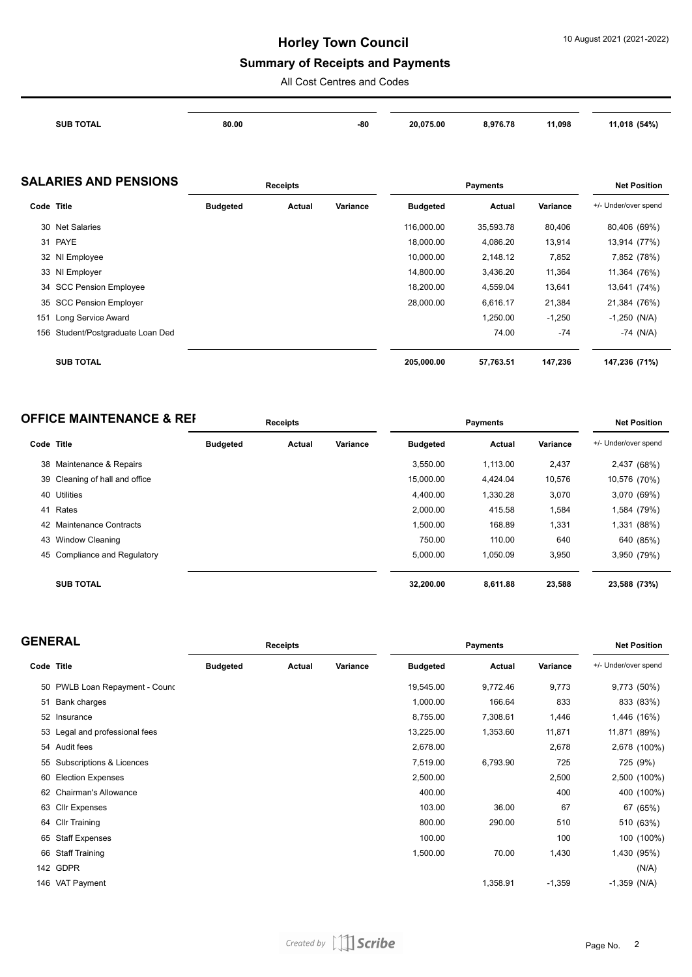#### **Summary of Receipts and Payments**

All Cost Centres and Codes

| <b>SUB TOTAL</b> | 80.00 | -80 | 20.075.00 | .976.78 | 11,098 | (54%) |
|------------------|-------|-----|-----------|---------|--------|-------|
|                  |       |     |           |         |        |       |

#### **SALARIES AND PENSIONS Receipts Payments Net Position**

|            |                                   | novemen         |        |          | nuu vanvu       |           |          |                      |
|------------|-----------------------------------|-----------------|--------|----------|-----------------|-----------|----------|----------------------|
| Code Title |                                   | <b>Budgeted</b> | Actual | Variance | <b>Budgeted</b> | Actual    | Variance | +/- Under/over spend |
|            | 30 Net Salaries                   |                 |        |          | 116.000.00      | 35,593.78 | 80,406   | 80,406 (69%)         |
|            | 31 PAYE                           |                 |        |          | 18,000.00       | 4,086.20  | 13,914   | 13,914 (77%)         |
|            | 32 NI Employee                    |                 |        |          | 10,000.00       | 2,148.12  | 7,852    | 7,852 (78%)          |
|            | 33 NI Employer                    |                 |        |          | 14,800.00       | 3,436.20  | 11,364   | 11,364 (76%)         |
|            | 34 SCC Pension Employee           |                 |        |          | 18,200.00       | 4,559.04  | 13,641   | 13,641 (74%)         |
|            | 35 SCC Pension Employer           |                 |        |          | 28.000.00       | 6.616.17  | 21,384   | 21,384 (76%)         |
|            | 151 Long Service Award            |                 |        |          |                 | 1,250.00  | $-1,250$ | $-1,250$ (N/A)       |
|            | 156 Student/Postgraduate Loan Ded |                 |        |          |                 | 74.00     | -74      | $-74$ (N/A)          |
|            |                                   |                 |        |          |                 |           |          |                      |
|            | <b>SUB TOTAL</b>                  |                 |        |          | 205,000.00      | 57,763.51 | 147,236  | 147,236 (71%)        |

| <b>OFFICE MAINTENANCE &amp; REF</b> | <b>Receipts</b> | Pavments | <b>Net Position</b> |
|-------------------------------------|-----------------|----------|---------------------|
|                                     |                 |          |                     |

| Code Title |                                | <b>Budgeted</b> | Actual | Variance | <b>Budgeted</b> | Actual   | Variance | +/- Under/over spend |
|------------|--------------------------------|-----------------|--------|----------|-----------------|----------|----------|----------------------|
|            | 38 Maintenance & Repairs       |                 |        |          | 3.550.00        | 1,113.00 | 2,437    | 2,437 (68%)          |
|            | 39 Cleaning of hall and office |                 |        |          | 15,000.00       | 4.424.04 | 10,576   | 10,576 (70%)         |
| 40         | Utilities                      |                 |        |          | 4.400.00        | 1,330.28 | 3,070    | 3,070 (69%)          |
| 41         | Rates                          |                 |        |          | 2,000.00        | 415.58   | 1,584    | 1,584 (79%)          |
|            | 42 Maintenance Contracts       |                 |        |          | 1,500.00        | 168.89   | 1,331    | 1,331 (88%)          |
|            | 43 Window Cleaning             |                 |        |          | 750.00          | 110.00   | 640      | 640 (85%)            |
|            | 45 Compliance and Regulatory   |                 |        |          | 5,000.00        | 1,050.09 | 3,950    | 3,950 (79%)          |
|            | <b>SUB TOTAL</b>               |                 |        |          | 32,200.00       | 8,611.88 | 23,588   | 23,588 (73%)         |

| <b>GENERAL</b> |                                | Receipts        |        |          | <b>Payments</b> |          |          | <b>Net Position</b>  |  |
|----------------|--------------------------------|-----------------|--------|----------|-----------------|----------|----------|----------------------|--|
| Code Title     |                                | <b>Budgeted</b> | Actual | Variance | <b>Budgeted</b> | Actual   | Variance | +/- Under/over spend |  |
|                | 50 PWLB Loan Repayment - Cound |                 |        |          | 19,545.00       | 9,772.46 | 9,773    | 9,773 (50%)          |  |
|                | 51 Bank charges                |                 |        |          | 1,000.00        | 166.64   | 833      | 833 (83%)            |  |
|                | 52 Insurance                   |                 |        |          | 8,755.00        | 7,308.61 | 1,446    | 1,446 (16%)          |  |
|                | 53 Legal and professional fees |                 |        |          | 13,225.00       | 1,353.60 | 11,871   | 11,871 (89%)         |  |
|                | 54 Audit fees                  |                 |        |          | 2,678.00        |          | 2,678    | 2,678 (100%)         |  |
|                | 55 Subscriptions & Licences    |                 |        |          | 7,519.00        | 6,793.90 | 725      | 725 (9%)             |  |
|                | 60 Election Expenses           |                 |        |          | 2,500.00        |          | 2,500    | 2,500 (100%)         |  |
|                | 62 Chairman's Allowance        |                 |        |          | 400.00          |          | 400      | 400 (100%)           |  |
|                | 63 Cllr Expenses               |                 |        |          | 103.00          | 36.00    | 67       | 67 (65%)             |  |
|                | 64 Cllr Training               |                 |        |          | 800.00          | 290.00   | 510      | 510 (63%)            |  |
|                | 65 Staff Expenses              |                 |        |          | 100.00          |          | 100      | 100 (100%)           |  |
|                | 66 Staff Training              |                 |        |          | 1,500.00        | 70.00    | 1,430    | 1,430 (95%)          |  |
|                | 142 GDPR                       |                 |        |          |                 |          |          | (N/A)                |  |
|                | 146 VAT Payment                |                 |        |          |                 | 1,358.91 | $-1,359$ | $-1,359$ (N/A)       |  |
|                |                                |                 |        |          |                 |          |          |                      |  |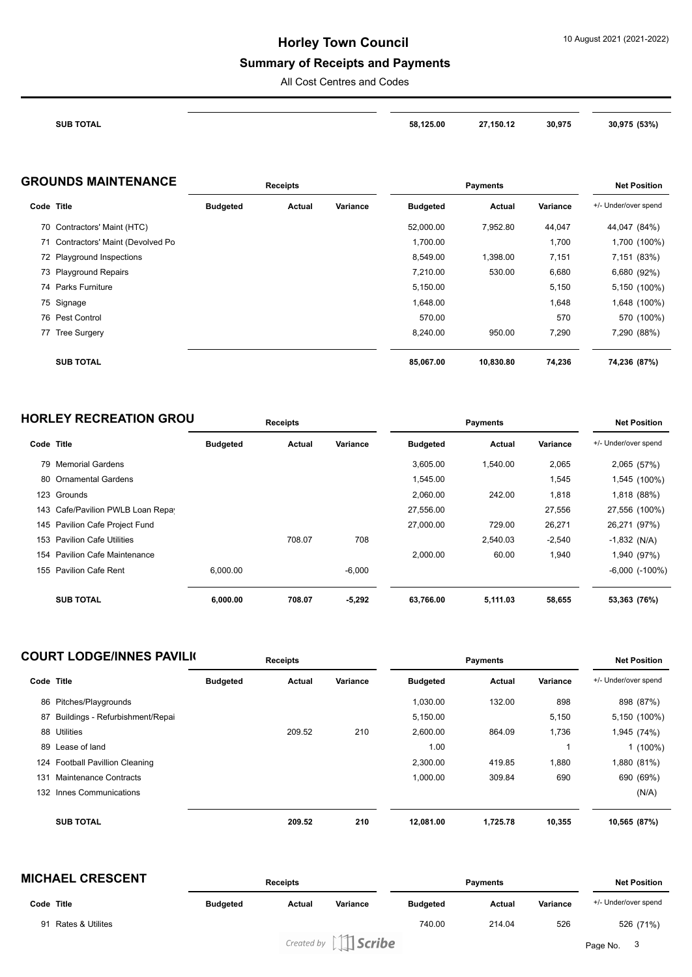## **Summary of Receipts and Payments**

All Cost Centres and Codes

| <b>SUB TOTAL</b> | 58.125.00 | 27,150.12<br>$\sim$ $\sim$ $\sim$<br>$\overline{\phantom{a}}$ | 30,975<br>$\sim$ | 30.975<br>1520/<br>15370. |
|------------------|-----------|---------------------------------------------------------------|------------------|---------------------------|

| <b>GROUNDS MAINTENANCE</b> | <b>Receipts</b> | Pavments | <b>Net Position</b> |
|----------------------------|-----------------|----------|---------------------|
|                            |                 |          |                     |

| Code Title |                                    | <b>Budgeted</b> | Actual | Variance | <b>Budgeted</b> | <b>Actual</b> | Variance | +/- Under/over spend |
|------------|------------------------------------|-----------------|--------|----------|-----------------|---------------|----------|----------------------|
|            | 70 Contractors' Maint (HTC)        |                 |        |          | 52,000.00       | 7.952.80      | 44,047   | 44,047 (84%)         |
|            | 71 Contractors' Maint (Devolved Po |                 |        |          | 1,700.00        |               | 1,700    | 1,700 (100%)         |
|            | 72 Playground Inspections          |                 |        |          | 8.549.00        | 1,398.00      | 7,151    | 7,151 (83%)          |
|            | 73 Playground Repairs              |                 |        |          | 7,210.00        | 530.00        | 6,680    | 6,680 (92%)          |
|            | 74 Parks Furniture                 |                 |        |          | 5,150.00        |               | 5,150    | 5,150 (100%)         |
|            | 75 Signage                         |                 |        |          | 1.648.00        |               | 1,648    | 1,648 (100%)         |
|            | 76 Pest Control                    |                 |        |          | 570.00          |               | 570      | 570 (100%)           |
|            | 77 Tree Surgery                    |                 |        |          | 8,240.00        | 950.00        | 7,290    | 7,290 (88%)          |
|            | <b>SUB TOTAL</b>                   |                 |        |          | 85,067.00       | 10,830.80     | 74,236   | 74,236 (87%)         |

| <b>HORLEY RECREATION GROU</b> | <b>Receipts</b> | Pavments | <b>Net Position</b> |
|-------------------------------|-----------------|----------|---------------------|
|                               |                 |          |                     |

| Code Title |                                   | <b>Budgeted</b> | Actual | Variance | <b>Budgeted</b> | <b>Actual</b> | Variance | +/- Under/over spend |
|------------|-----------------------------------|-----------------|--------|----------|-----------------|---------------|----------|----------------------|
|            | 79 Memorial Gardens               |                 |        |          | 3.605.00        | 1.540.00      | 2,065    | 2,065 (57%)          |
|            | 80 Ornamental Gardens             |                 |        |          | 1,545.00        |               | 1,545    | 1,545 (100%)         |
|            | 123 Grounds                       |                 |        |          | 2,060.00        | 242.00        | 1,818    | 1,818 (88%)          |
|            | 143 Cafe/Pavilion PWLB Loan Repay |                 |        |          | 27,556.00       |               | 27,556   | 27,556 (100%)        |
|            | 145 Pavilion Cafe Project Fund    |                 |        |          | 27,000.00       | 729.00        | 26,271   | 26,271 (97%)         |
|            | 153 Pavilion Cafe Utilities       |                 | 708.07 | 708      |                 | 2,540.03      | $-2,540$ | $-1,832$ (N/A)       |
|            | 154 Pavilion Cafe Maintenance     |                 |        |          | 2,000.00        | 60.00         | 1,940    | 1,940 (97%)          |
|            | 155 Pavilion Cafe Rent            | 6.000.00        |        | $-6,000$ |                 |               |          | $-6,000$ $(-100\%)$  |
|            |                                   |                 |        |          |                 |               |          |                      |
|            | <b>SUB TOTAL</b>                  | 6,000.00        | 708.07 | $-5,292$ | 63,766.00       | 5,111.03      | 58,655   | 53,363 (76%)         |

|            | <b>COURT LODGE/INNES PAVILI(</b> |                 | <b>Receipts</b> |          |                 | <b>Payments</b> |          | <b>Net Position</b>  |
|------------|----------------------------------|-----------------|-----------------|----------|-----------------|-----------------|----------|----------------------|
| Code Title |                                  | <b>Budgeted</b> | Actual          | Variance | <b>Budgeted</b> | Actual          | Variance | +/- Under/over spend |
|            | 86 Pitches/Playgrounds           |                 |                 |          | 1.030.00        | 132.00          | 898      | 898 (87%)            |
| 87         | Buildings - Refurbishment/Repai  |                 |                 |          | 5,150.00        |                 | 5,150    | 5,150 (100%)         |
| 88         | Utilities                        |                 | 209.52          | 210      | 2,600.00        | 864.09          | 1,736    | 1,945 (74%)          |
| 89         | Lease of land                    |                 |                 |          | 1.00            |                 |          | $1(100\%)$           |
|            | 124 Football Pavillion Cleaning  |                 |                 |          | 2.300.00        | 419.85          | 1,880    | 1,880 (81%)          |
| 131        | Maintenance Contracts            |                 |                 |          | 1,000.00        | 309.84          | 690      | 690 (69%)            |
|            | 132 Innes Communications         |                 |                 |          |                 |                 |          | (N/A)                |
|            | <b>SUB TOTAL</b>                 |                 | 209.52          | 210      | 12,081.00       | 1,725.78        | 10,355   | 10,565 (87%)         |

| <b>MICHAEL CRESCENT</b>           |                 | <b>Receipts</b> |                            |                 | <b>Payments</b> |          |                      |
|-----------------------------------|-----------------|-----------------|----------------------------|-----------------|-----------------|----------|----------------------|
| Code Title                        | <b>Budgeted</b> | Actual          | Variance                   | <b>Budgeted</b> | Actual          | Variance | +/- Under/over spend |
| <b>Rates &amp; Utilites</b><br>91 |                 |                 |                            | 740.00          | 214.04          | 526      | 526 (71%)            |
|                                   |                 |                 | Created by $\iiint$ Scribe |                 |                 |          | Page No. 3           |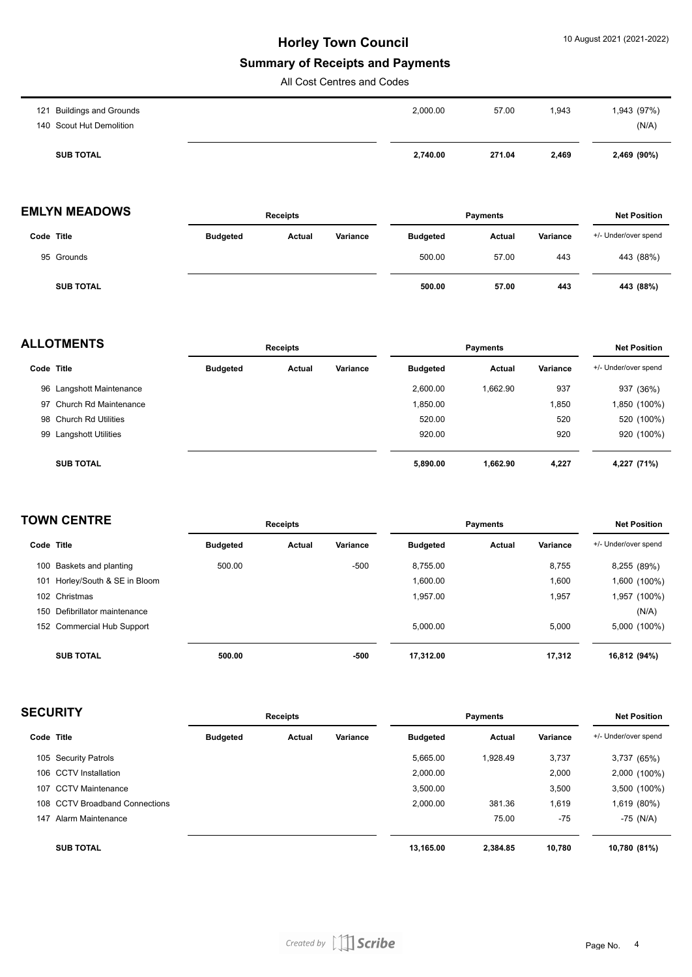#### **Summary of Receipts and Payments**

All Cost Centres and Codes

| 140 Scout Hut Demolition | <b>SUB TOTAL</b>          | 2,740.00 | 271.04 | 2,469  | 2,469 (90%)          |
|--------------------------|---------------------------|----------|--------|--------|----------------------|
|                          | 121 Buildings and Grounds | 2,000.00 | 57.00  | 943, ا | 1,943 (97%)<br>(N/A) |

### **EMLYN MEADOWS Receipts Payments Net Position**

|                  |                 | .      |          | .               |        |          | .                    |
|------------------|-----------------|--------|----------|-----------------|--------|----------|----------------------|
| Code Title       | <b>Budgeted</b> | Actual | Variance | <b>Budgeted</b> | Actual | Variance | +/- Under/over spend |
| 95 Grounds       |                 |        |          | 500.00          | 57.00  | 443      | 443 (88%)            |
| <b>SUB TOTAL</b> |                 |        |          | 500.00          | 57.00  | 443      | 443 (88%)            |

| <b>ALLOTMENTS</b> |                          | <b>Receipts</b> |        |          | <b>Payments</b> |          |          | <b>Net Position</b>  |  |
|-------------------|--------------------------|-----------------|--------|----------|-----------------|----------|----------|----------------------|--|
| Code Title        |                          | <b>Budgeted</b> | Actual | Variance | <b>Budgeted</b> | Actual   | Variance | +/- Under/over spend |  |
|                   | 96 Langshott Maintenance |                 |        |          | 2,600.00        | 1.662.90 | 937      | 937 (36%)            |  |
|                   | 97 Church Rd Maintenance |                 |        |          | 1,850.00        |          | 1,850    | 1,850 (100%)         |  |
|                   | 98 Church Rd Utilities   |                 |        |          | 520.00          |          | 520      | 520 (100%)           |  |
|                   | 99 Langshott Utilities   |                 |        |          | 920.00          |          | 920      | 920 (100%)           |  |
|                   | <b>SUB TOTAL</b>         |                 |        |          | 5,890.00        | 1,662.90 | 4,227    | 4,227 (71%)          |  |

|            | <b>TOWN CENTRE</b>            |                 | <b>Receipts</b> |          |                 | <b>Payments</b> |          | <b>Net Position</b>  |
|------------|-------------------------------|-----------------|-----------------|----------|-----------------|-----------------|----------|----------------------|
| Code Title |                               | <b>Budgeted</b> | Actual          | Variance | <b>Budgeted</b> | Actual          | Variance | +/- Under/over spend |
|            | 100 Baskets and planting      | 500.00          |                 | $-500$   | 8.755.00        |                 | 8,755    | 8,255 (89%)          |
| 101        | Horley/South & SE in Bloom    |                 |                 |          | 1,600.00        |                 | 1,600    | (100%) 600,          |
|            | 102 Christmas                 |                 |                 |          | 1,957.00        |                 | 1,957    | ,957 (100%)          |
|            | 150 Defibrillator maintenance |                 |                 |          |                 |                 |          | (N/A)                |
|            | 152 Commercial Hub Support    |                 |                 |          | 5.000.00        |                 | 5,000    | 5,000 (100%)         |
|            | <b>SUB TOTAL</b>              | 500.00          |                 | -500     | 17,312.00       |                 | 17,312   | 16,812 (94%)         |

| <b>SECURITY</b> |                                | <b>Receipts</b> |        |          | <b>Payments</b> |          |          | <b>Net Position</b>  |  |
|-----------------|--------------------------------|-----------------|--------|----------|-----------------|----------|----------|----------------------|--|
|                 | Code Title                     | <b>Budgeted</b> | Actual | Variance | <b>Budgeted</b> | Actual   | Variance | +/- Under/over spend |  |
|                 | 105 Security Patrols           |                 |        |          | 5,665.00        | .928.49  | 3,737    | 3,737 (65%)          |  |
|                 | 106 CCTV Installation          |                 |        |          | 2,000.00        |          | 2,000    | 2,000 (100%)         |  |
| 107             | <b>CCTV Maintenance</b>        |                 |        |          | 3,500.00        |          | 3,500    | 3,500 (100%)         |  |
|                 | 108 CCTV Broadband Connections |                 |        |          | 2,000.00        | 381.36   | 1,619    | 1,619 (80%)          |  |
| 147             | Alarm Maintenance              |                 |        |          |                 | 75.00    | $-75$    | $-75$ (N/A)          |  |
|                 | <b>SUB TOTAL</b>               |                 |        |          | 13.165.00       | 2,384.85 | 10.780   | 10,780 (81%)         |  |